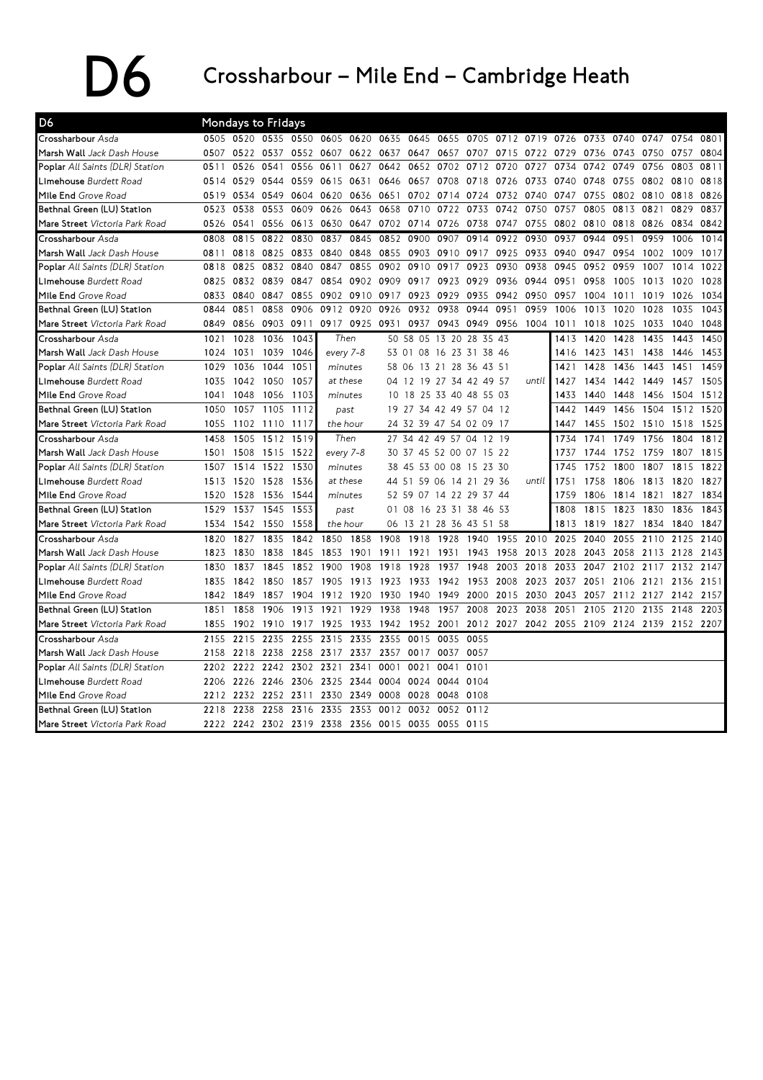## $\sum$  Crossharbour – Mile End – Cambridge Heath

| D <sub>6</sub>                         |      |           | Mondays to Fridays |           |                               |           |       |                         |                   |                         |                               |           |      |      |                |      |           |      |
|----------------------------------------|------|-----------|--------------------|-----------|-------------------------------|-----------|-------|-------------------------|-------------------|-------------------------|-------------------------------|-----------|------|------|----------------|------|-----------|------|
| Crossharbour Asda                      | 0505 |           |                    |           | 0520 0535 0550 0605 0620 0635 |           |       | 0645 0655               |                   |                         | 0705 0712 0719 0726           |           |      | 0733 | 0740 0747      |      | 0754 0801 |      |
| Marsh Wall Jack Dash House             | 0507 | 0522 0537 |                    | 0552      | 0607                          | 0622 0637 |       | 0647                    | 0657              | 0707                    | 0715                          | 0722 0729 |      | 0736 | 0743 0750      |      | 0757      | 0804 |
| Poplar All Saints (DLR) Station        | 0511 | 0526      | 0541               | 0556      | 0611                          | 0627      | 0642  | 0652                    | 0702              | 0712                    | 0720                          | 0727      | 0734 | 0742 | 0749           | 0756 | 0803      | 0811 |
| Limehouse Burdett Road                 | 0514 | 0529      | 0544               | 0559      |                               | 0615 0631 | 0646  |                         |                   |                         | 0657 0708 0718 0726 0733 0740 |           |      | 0748 | 0755 0802 0810 |      |           | 0818 |
| Mile End Grove Road                    | 0519 | 0534      | 0549               | 0604      | 0620                          | 0636 0651 |       | 0702                    | 0714              | 0724                    | 0732                          | 0740      | 0747 | 0755 | 0802 0810      |      | 0818      | 0826 |
| Bethnal Green (LU) Station             | 0523 | 0538      | 0553               | 0609      | 0626                          | 0643      | 0658  | 0710                    | 0722              | 0733                    | 0742                          | 0750      | 0757 | 0805 | 0813           | 0821 | 0829      | 0837 |
| Mare Street Victoria Park Road         | 0526 | 0541      |                    | 0556 0613 | 0630                          | 0647      | 0702  | 0714                    | 0726              | 0738                    | 0747                          | 0755      | 0802 | 0810 | 0818           | 0826 | 0834      | 0842 |
| Crossharbour Asda                      | 0808 | 0815      | 0822               | 0830      | 0837                          | 0845      | 0852  | 0900                    | 0907              | 0914                    | 0922                          | 0930      | 0937 | 0944 | 0951           | 0959 | 1006      | 1014 |
| Marsh Wall Jack Dash House             | 0811 | 0818      | 0825 0833          |           | 0840                          | 0848      | 0855  | 0903 0910               |                   | 0917                    | 0925                          | 0933      | 0940 | 0947 | 0954           | 1002 | 1009      | 1017 |
| Poplar All Saints (DLR) Station        | 0818 | 0825      | 0832               | 0840      | 0847                          | 0855      | 0902  | 0910                    | 0917              | 0923                    | 0930                          | 0938      | 0945 | 0952 | 0959           | 1007 | 1014      | 1022 |
| Limehouse Burdett Road                 | 0825 |           | 0832 0839 0847     |           | 0854                          | 0902 0909 |       |                         | 0917 0923 0929    |                         | 0936                          | 0944      | 0951 | 0958 | 1005           | 1013 | 1020      | 1028 |
| Mile End Grove Road                    | 0833 | 0840      | 0847               | 0855      | 0902                          | 0910      | 0917  | 0923                    | 0929              | 0935                    | 0942                          | 0950      | 0957 | 1004 | 1011           | 1019 | 1026      | 1034 |
| Bethnal Green (LU) Station             | 0844 | 0851      |                    | 0858 0906 |                               | 0912 0920 | 0926  | 0932                    | 0938              | 0944                    | 0951                          | 0959      | 1006 | 1013 | 1020           | 1028 | 1035      | 1043 |
| Mare Street Victoria Park Road         | 0849 | 0856      | 0903 0911          |           |                               | 0917 0925 | 0931  | 0937                    | 0943              | 0949                    | 0956                          | 1004      | 1011 | 1018 | 1025           | 1033 | 1040      | 1048 |
| Crossharbour Asda                      | 1021 | 1028      | 1036               | 1043      | Then                          |           |       | 50 58 05 13 20 28 35 43 |                   |                         |                               |           | 1413 | 1420 | 1428           | 1435 | 1443      | 1450 |
| Marsh Wall Jack Dash House             | 1024 | 1031      | 1039               | 1046      | every 7-8                     |           |       | 53 01 08 16 23 31 38 46 |                   |                         |                               |           | 1416 | 1423 | 1431           | 1438 | 1446      | 1453 |
| <b>Poplar</b> All Saints (DLR) Station | 1029 | 1036      | 1044               | 1051      | minutes                       |           | 58 06 |                         | 13 21 28 36 43 51 |                         |                               |           | 1421 | 1428 | 1436           | 1443 | 1451      | 1459 |
| Limehouse Burdett Road                 | 1035 | 1042      | 1050               | 1057      | at these                      |           |       | 04 12 19 27 34 42 49 57 |                   |                         |                               | until     | 1427 | 1434 | 1442 1449      |      | 1457      | 1505 |
| Mile End Grove Road                    | 1041 | 1048      | 1056               | -1103     | minutes                       |           |       | 10 18 25 33 40 48 55 03 |                   |                         |                               |           | 1433 | 1440 | 1448           | 1456 | 1504 1512 |      |
| Bethnal Green (LU) Station             | 1050 | 1057      | 1105               | 1112      | past                          |           |       | 19 27 34 42 49 57 04 12 |                   |                         |                               |           | 1442 | 1449 | 1456           | 1504 | 1512      | 1520 |
| Mare Street Victoria Park Road         | 1055 | 1102      | 1110               | 1117      | the hour                      |           |       |                         |                   | 24 32 39 47 54 02 09 17 |                               |           | 1447 | 1455 | 1502           | 1510 | 1518      | 1525 |
| Crossharbour Asda                      | 1458 | 1505      | 1512               | 1519      | Then                          |           |       | 27 34 42 49 57 04 12 19 |                   |                         |                               |           | 1734 | 1741 | 1749           | 1756 | 1804      | 1812 |
| Marsh Wall Jack Dash House             | 1501 | 1508      | 1515               | 1522      | every 7-8                     |           |       | 30 37 45 52 00 07 15 22 |                   |                         |                               |           | 1737 | 1744 | 1752           | 1759 | 1807      | 1815 |
| <b>Poplar</b> All Saints (DLR) Station | 1507 | 1514      | 1522               | 1530      | minutes                       |           |       | 38 45 53 00 08 15 23 30 |                   |                         |                               |           | 1745 | 1752 | 1800           | 1807 | 1815      | 1822 |
| Limehouse Burdett Road                 | 1513 | 1520      | 1528               | 1536      | at these                      |           | 44 51 |                         | 59 06 14 21 29 36 |                         |                               | until     | 1751 | 1758 | 1806           | 1813 | 1820      | 1827 |
| Mile End Grove Road                    | 1520 | 1528      | 1536               | 1544      | minutes                       |           |       | 52 59 07 14 22 29 37 44 |                   |                         |                               |           | 1759 | 1806 | 1814           | 1821 | 1827      | 1834 |
| Bethnal Green (LU) Station             | 1529 | 1537      | 1545               | 1553      |                               | past      |       | 01 08 16 23 31 38 46 53 |                   |                         |                               |           | 1808 | 1815 | 1823           | 1830 | 1836      | 1843 |
| Mare Street Victoria Park Road         | 1534 | 1542      | 1550               | 1558      | the hour                      |           |       | 06 13 21                | 28 36 43 51 58    |                         |                               |           | 1813 | 1819 | 1827           | 1834 | 1840      | 1847 |
| Crossharbour Asda                      | 1820 | 1827      | 1835               | 1842      | 1850                          | 1858      | 1908  | 1918                    | 1928              | 1940                    | 1955                          | 2010      | 2025 | 2040 | 2055           | 2110 | 2125      | 2140 |
| Marsh Wall Jack Dash House             | 1823 | 1830      | 1838               | 1845      | 1853                          | 1901      | 1911  | 1921                    | 1931              | 1943                    | 1958                          | 2013      | 2028 | 2043 | 2058           | 2113 | 2128      | 2143 |
| <b>Poplar</b> All Saints (DLR) Station | 1830 | 1837      | 1845               | 1852      | 1900                          | 1908      | 1918  | 1928                    | 1937              | 1948                    | 2003                          | 2018      | 2033 | 2047 | 2102           | 2117 | 2132      | 2147 |
| Limehouse Burdett Road                 | 1835 | 1842      | 1850               | 1857      | 1905                          | 1913      | 1923  | 1933                    | 1942              | 1953                    | 2008                          | 2023      | 2037 | 2051 | 2106           | 2121 | 2136      | 2151 |
| Mile End Grove Road                    | 1842 | 1849      | 1857               | 1904      | 1912                          | 1920      | 1930  | 1940                    | 1949              | 2000                    | 2015                          | 2030      | 2043 | 2057 | 2112 2127      |      | 2142      | 2157 |
| Bethnal Green (LU) Station             | 1851 | 1858      | 1906               | 1913      | 1921                          | 1929      | 1938  | 1948                    | 1957              | 2008                    | 2023                          | 2038      | 2051 | 2105 | 2120           | 2135 | 2148      | 2203 |
| Mare Street Victoria Park Road         | 1855 | 1902      | 1910               | 1917      | 1925                          | 1933      | 1942  | 1952                    | 2001              | 2012                    | 2027                          | 2042      | 2055 | 2109 | 2124 2139      |      | 2152 2207 |      |
| Crossharbour Asda                      | 2155 | 2215      | 2235               | 2255      | 2315                          | 2335      | 2355  | 0015                    | 0035              | 0055                    |                               |           |      |      |                |      |           |      |
| Marsh Wall Jack Dash House             | 2158 | 2218      | 2238               | 2258      | 2317                          | 2337      | 2357  | 0017                    | 0037              | 0057                    |                               |           |      |      |                |      |           |      |
| <b>Poplar</b> All Saints (DLR) Station | 2202 | 2222      | 2242 2302          |           | 2321                          | 2341      | 0001  | 0021                    | 0041              | 0101                    |                               |           |      |      |                |      |           |      |
| Limehouse Burdett Road                 | 2206 | 2226      | 2246 2306          |           | 2325                          | 2344      | 0004  | 0024                    | 0044              | 0104                    |                               |           |      |      |                |      |           |      |
| Mile End Grove Road                    | 2212 | 2232      | 2252 2311          |           | 2330                          | 2349      | 0008  | 0028                    | 0048              | 0108                    |                               |           |      |      |                |      |           |      |
| Bethnal Green (LU) Station             | 2218 | 2238      |                    | 2258 2316 | 2335                          | 2353      | 0012  | 0032                    | 0052              | 0112                    |                               |           |      |      |                |      |           |      |
| Mare Street Victoria Park Road         | 2222 |           |                    |           | 2242 2302 2319 2338 2356 0015 |           |       | 0035                    | 0055 0115         |                         |                               |           |      |      |                |      |           |      |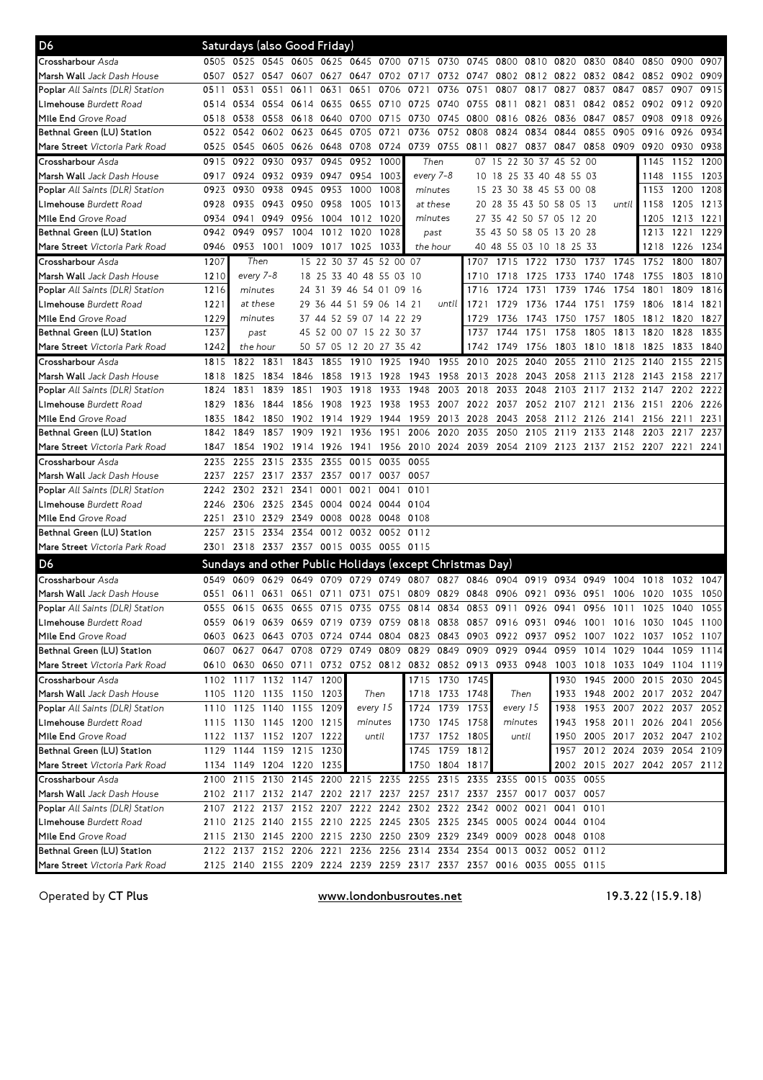| D6                                     |      | Saturdays (also Good Friday) |                |                |      |                                                                                           |           |          |                |           |           |                                    |                |      |                     |                               |           |           |
|----------------------------------------|------|------------------------------|----------------|----------------|------|-------------------------------------------------------------------------------------------|-----------|----------|----------------|-----------|-----------|------------------------------------|----------------|------|---------------------|-------------------------------|-----------|-----------|
| Crossharbour Asda                      |      |                              |                |                |      | 0505 0525 0545 0605 0625 0645 0700 0715 0730 0745 0800 0810 0820 0830 0840 0850 0900 0907 |           |          |                |           |           |                                    |                |      |                     |                               |           |           |
| <b>Marsh Wall</b> Jack Dash House      | 0507 |                              | 0527 0547 0607 |                |      | 0627 0647 0702 0717 0732 0747 0802 0812 0822 0832 0842 0852 0902                          |           |          |                |           |           |                                    |                |      |                     |                               |           | 0909      |
| <b>Poplar</b> All Saints (DLR) Station | 0511 | 0531                         |                | 0551 0611      | 0631 | 0651                                                                                      | 0706      | 0721     | 0736           | 0751      | 0807      | 0817                               | 0827           | 0837 | 0847                | 0857                          | 0907      | 0915      |
| <b>Limehouse</b> Burdett Road          | 0514 | 0534                         | 0554 0614 0635 |                |      | 0655 0710                                                                                 |           | 0725     | 0740           |           | 0755 0811 | 0821                               | 0831           |      | 0842 0852 0902      |                               | 0912      | 0920      |
| Mile End Grove Road                    | 0518 | 0538                         |                | 0558 0618      |      | 0640 0700 0715                                                                            |           | 0730     |                | 0745 0800 |           | 0816 0826 0836                     |                | 0847 | 0857                | 0908                          | 0918      | 0926      |
| Bethnal Green (LU) Station             | 0522 | 0542                         |                | 0602 0623      | 0645 | 0705 0721                                                                                 |           |          | 0736 0752 0808 |           | 0824      | 0834                               | 0844           | 0855 | 0905                | 0916                          | 0926      | 0934      |
| <b>Mare Street</b> Victoria Park Road  | 0525 |                              |                |                |      | 0545 0605 0626 0648 0708 0724                                                             |           |          | 0739 0755 0811 |           | 0827      |                                    | 0837 0847      | 0858 | 0909                | 0920                          | 0930      | 0938      |
| Crossharbour Asda                      | 0915 | 0922 0930                    |                | 0937           | 0945 | 0952 1000                                                                                 |           |          | Then           |           |           | 07 15 22 30 37 45 52 00            |                |      |                     | 1145                          | 1152 1200 |           |
| Marsh Wall Jack Dash House             | 0917 | 0924                         |                | 0932 0939      | 0947 | 0954 1003                                                                                 |           |          | every 7-8      |           |           | 10 18 25 33 40 48 55 03            |                |      |                     | 1148                          | 1155      | 1203      |
| <b>Poplar</b> All Saints (DLR) Station | 0923 | 0930                         |                | 0938 0945      | 0953 | 1000                                                                                      | 1008      |          | minutes        |           |           | 15 23 30 38 45 53 00 08            |                |      |                     | 1153                          | 1200      | 1208      |
| Limehouse Burdett Road                 | 0928 | 0935                         |                | 0943 0950      | 0958 | 1005                                                                                      | 1013      |          | at these       |           |           | 20 28 35 43 50 58 05 13            |                |      | until               | 1158                          | 1205      | 1213      |
| Mile End Grove Road                    | 0934 | 0941                         | 0949           | 0956           |      | 1004 1012 1020                                                                            |           |          | minutes        |           |           | 27 35 42 50 57 05 12 20            |                |      |                     | 1205                          | 1213 1221 |           |
| Bethnal Green (LU) Station             | 0942 | 0949                         | 0957           | 1004           | 1012 | 1020                                                                                      | 1028      |          | past           |           |           | 35 43 50 58 05 13 20 28            |                |      |                     | 1213                          | 1221      | 1229      |
| <b>Mare Street</b> Victoria Park Road  |      | 0946 0953 1001 1009          |                |                |      | 1017 1025 1033                                                                            |           | the hour |                |           |           | 40 48 55 03 10 18 25 33            |                |      |                     | 1218                          | 1226      | 1234      |
| Crossharbour Asda                      | 1207 | Then                         |                |                |      | 15 22 30 37 45 52 00 07                                                                   |           |          |                | 1707      |           | 1715 1722 1730 1737                |                |      |                     | 1745 1752                     | 1800      | 1807      |
| <b>Marsh Wall</b> Jack Dash House      | 1210 | every 7-8                    |                |                |      | 18 25 33 40 48 55 03 10                                                                   |           |          |                | 1710      | 1718      |                                    | 1725 1733 1740 |      | 1748                | 1755                          | 1803      | 1810      |
| Poplar All Saints (DLR) Station        | 1216 | minutes                      |                |                |      | 24 31 39 46 54 01 09 16                                                                   |           |          |                | 1716      | 1724      | 1731                               | 1739           | 1746 | 1754                | 1801                          | 1809      | 1816      |
| L <b>imehouse</b> Burdett Road         | 1221 | at these                     |                |                |      | 29 36 44 51 59 06 14 21                                                                   |           |          | until          | 1721      | 1729      | 1736                               | 1744           | 1751 | 1759                | 1806                          | 1814      | 1821      |
| Mile End Grove Road                    | 1229 | minutes                      |                |                |      | 37 44 52 59 07 14 22 29                                                                   |           |          |                | 1729      | 1736      | 1743                               | 1750           | 1757 | 1805                | 1812                          | 1820      | 1827      |
| Bethnal Green (LU) Station             | 1237 | past                         |                |                |      | 45 52 00 07 15 22 30 37                                                                   |           |          |                | 1737      | 1744      | 1751                               | 1758           | 1805 | 1813                | 1820                          | 1828      | 1835      |
| <b>Mare Street</b> Victoria Park Road  | 1242 | the hour                     |                |                |      | 50 57 05 12 20 27 35 42                                                                   |           |          |                | 1742      | 1749      | 1756 1803                          |                |      | 1810 1818 1825      |                               | 1833      | 1840      |
| Crossharbour Asda                      | 1815 |                              | 1822 1831      | 1843           | 1855 | 1910 1925                                                                                 |           | 1940     | 1955           | 2010      | 2025      | 2040                               | 2055           | 2110 |                     | 2125 2140                     | 2155      | 2215      |
| <b>Marsh Wall</b> Jack Dash House      | 1818 | 1825                         | 1834           | 1846           | 1858 | 1913 1928                                                                                 |           | 1943     | 1958           | 2013      | 2028      |                                    | 2043 2058      | 2113 | 2128                | 2143                          | 2158      | 2217      |
| <b>Poplar</b> All Saints (DLR) Station | 1824 | 1831                         | 1839           | 1851           | 1903 | 1918                                                                                      | 1933      | 1948     | 2003           | 2018      | 2033      | 2048                               | 2103           | 2117 |                     | 2132 2147                     | 2202      | 2222      |
| Limehouse Burdett Road                 | 1829 | 1836                         | 1844           | 1856           | 1908 | 1923                                                                                      | 1938      | 1953     | 2007           | 2022      | 2037      |                                    | 2052 2107      | 2121 |                     | 2136 2151                     | 2206      | 2226      |
| Mile End Grove Road                    | 1835 | 1842                         | 1850           | 1902           |      | 1914 1929                                                                                 | 1944      | 1959     | 2013           | 2028      | 2043      |                                    | 2058 2112      | 2126 |                     | 2141 2156 2211                |           | 2231      |
| Bethnal Green (LU) Station             | 1842 | 1849                         | 1857           | 1909           | 1921 | 1936                                                                                      | 1951      |          | 2006 2020      | 2035      | 2050      |                                    | 2105 2119      | 2133 | 2148                | 2203                          | 2217      | 2237      |
| <b>Mare Street</b> Victoria Park Road  | 1847 |                              |                |                |      | 1854 1902 1914 1926 1941 1956 2010 2024 2039 2054 2109 2123 2137 2152 2207 2221 2241      |           |          |                |           |           |                                    |                |      |                     |                               |           |           |
| Crossharbour Asda                      | 2235 | 2255                         |                | 2315 2335      | 2355 | 0015 0035                                                                                 |           | 0055     |                |           |           |                                    |                |      |                     |                               |           |           |
| <b>Marsh Wall</b> Jack Dash House      | 2237 |                              |                |                |      | 2257 2317 2337 2357 0017 0037                                                             |           | 0057     |                |           |           |                                    |                |      |                     |                               |           |           |
| <b>Poplar</b> All Saints (DLR) Station | 2242 |                              | 2302 2321 2341 |                | 0001 | 0021                                                                                      | 0041      | 0101     |                |           |           |                                    |                |      |                     |                               |           |           |
| Limehouse Burdett Road                 | 2246 | 2306                         |                | 2325 2345      |      | 0004 0024 0044                                                                            |           | 0104     |                |           |           |                                    |                |      |                     |                               |           |           |
| Mile End Grove Road                    | 2251 | 2310                         |                | 2329 2349 0008 |      | 0028 0048                                                                                 |           | 0108     |                |           |           |                                    |                |      |                     |                               |           |           |
| Bethnal Green (LU) Station             | 2257 | 2315                         | 2334           | 2354           | 0012 |                                                                                           | 0032 0052 | 0112     |                |           |           |                                    |                |      |                     |                               |           |           |
| <b>Mare Street</b> Victoria Park Road  |      |                              |                |                |      | 2301 2318 2337 2357 0015 0035 0055 0115                                                   |           |          |                |           |           |                                    |                |      |                     |                               |           |           |
| D6                                     |      |                              |                |                |      | Sundays and other Public Holidays (except Christmas Day)                                  |           |          |                |           |           |                                    |                |      |                     |                               |           |           |
| Crossharbour Asda                      | 0549 | 0609                         | 0629           |                |      | 0649 0709 0729 0749 0807 0827                                                             |           |          |                |           |           | 0846 0904 0919 0934                |                | 0949 | 1004                | 1018                          | 1032      | 1047      |
| <b>Marsh Wall</b> Jack Dash House      | 0551 |                              |                |                |      | 0611 0631 0651 0711 0731 0751                                                             |           |          |                |           |           | 0809 0829 0848 0906 0921 0936 0951 |                |      |                     | 1006 1020                     | 1035      | 1050      |
| Poplar All Saints (DLR) Station        | 0555 | 0615                         |                |                |      | 0635 0655 0715 0735 0755 0814 0834 0853 0911                                              |           |          |                |           |           |                                    | 0926 0941      |      | 0956 1011           | 1025                          | 1040 1055 |           |
| L <b>imehouse</b> Burdett Road         |      |                              |                |                |      | 0559 0619 0639 0659 0719 0739 0759 0818 0838 0857 0916 0931 0946 1001 1016 1030 1045 1100 |           |          |                |           |           |                                    |                |      |                     |                               |           |           |
| Mile End Grove Road                    |      |                              |                |                |      | 0603 0623 0643 0703 0724 0744 0804 0823 0843 0903 0922 0937 0952 1007 1022 1037 1052 1107 |           |          |                |           |           |                                    |                |      |                     |                               |           |           |
| Bethnal Green (LU) Station             |      |                              |                |                |      | 0607 0627 0647 0708 0729 0749 0809 0829 0849 0909 0929 0944                               |           |          |                |           |           |                                    |                |      | 0959 1014 1029 1044 |                               |           | 1059 1114 |
| Mare Street Victoria Park Road         |      |                              |                |                |      | 0610 0630 0650 0711 0732 0752 0812 0832 0852 0913 0933 0948                               |           |          |                |           |           |                                    |                |      |                     | 1003 1018 1033 1049 1104 1119 |           |           |
| Crossharbour Asda                      |      | 1102 1117 1132 1147 1200     |                |                |      |                                                                                           |           |          | 1715 1730 1745 |           |           |                                    |                |      |                     | 1930 1945 2000 2015 2030 2045 |           |           |
| Marsh Wall Jack Dash House             |      | 1105 1120 1135 1150 1203     |                |                |      | Then                                                                                      |           |          | 1718 1733 1748 |           |           | Then                               | 1933           |      |                     | 1948 2002 2017 2032 2047      |           |           |
| Poplar All Saints (DLR) Station        |      | 1110 1125 1140 1155 1209     |                |                |      | every 15                                                                                  |           |          | 1724 1739 1753 |           |           | every 15                           | 1938           |      |                     | 1953 2007 2022 2037 2052      |           |           |
| Limehouse Burdett Road                 |      | 1115 1130 1145 1200 1215     |                |                |      |                                                                                           | minutes   |          | 1730 1745 1758 |           |           | minutes                            |                |      |                     | 1943 1958 2011 2026 2041 2056 |           |           |
| Mile End Grove Road                    |      | 1122 1137 1152 1207 1222     |                |                |      |                                                                                           | until     |          | 1737 1752 1805 |           |           | until                              |                |      |                     | 1950 2005 2017 2032 2047 2102 |           |           |
| Bethnal Green (LU) Station             |      | 1129 1144 1159 1215 1230     |                |                |      |                                                                                           |           |          | 1745 1759 1812 |           |           |                                    |                |      |                     | 1957 2012 2024 2039 2054 2109 |           |           |
| <b>Mare Street</b> Victoria Park Road  |      | 1134 1149 1204 1220 1235     |                |                |      |                                                                                           |           |          | 1750 1804 1817 |           |           |                                    |                |      |                     | 2002 2015 2027 2042 2057 2112 |           |           |
| Crossharbour Asda                      |      |                              |                |                |      | 2100 2115 2130 2145 2200 2215 2235 2255 2315 2335 2355 0015 0035                          |           |          |                |           |           |                                    |                | 0055 |                     |                               |           |           |
| Marsh Wall Jack Dash House             |      |                              |                |                |      | 2102 2117 2132 2147 2202 2217 2237 2257 2317 2337 2357 0017 0037 0057                     |           |          |                |           |           |                                    |                |      |                     |                               |           |           |
| <b>Poplar</b> All Saints (DLR) Station |      |                              |                |                |      | 2107 2122 2137 2152 2207 2222 2242 2302 2322 2342 0002 0021 0041 0101                     |           |          |                |           |           |                                    |                |      |                     |                               |           |           |
| <b>Limehouse</b> Burdett Road          |      |                              |                |                |      | 2110 2125 2140 2155 2210 2225 2245 2305 2325 2345 0005 0024 0044 0104                     |           |          |                |           |           |                                    |                |      |                     |                               |           |           |
| Mile End Grove Road                    |      |                              |                |                |      | 2115 2130 2145 2200 2215 2230 2250 2309 2329 2349 0009 0028 0048 0108                     |           |          |                |           |           |                                    |                |      |                     |                               |           |           |
| Bethnal Green (LU) Station             |      |                              |                |                |      | 2122 2137 2152 2206 2221 2236 2256 2314 2334 2354 0013 0032 0052 0112                     |           |          |                |           |           |                                    |                |      |                     |                               |           |           |
| Mare Street Victoria Park Road         |      |                              |                |                |      | 2125 2140 2155 2209 2224 2239 2259 2317 2337 2357 0016 0035 0055 0115                     |           |          |                |           |           |                                    |                |      |                     |                               |           |           |

Operated by CT Plus

www.londonbusroutes.net

(15.9.18)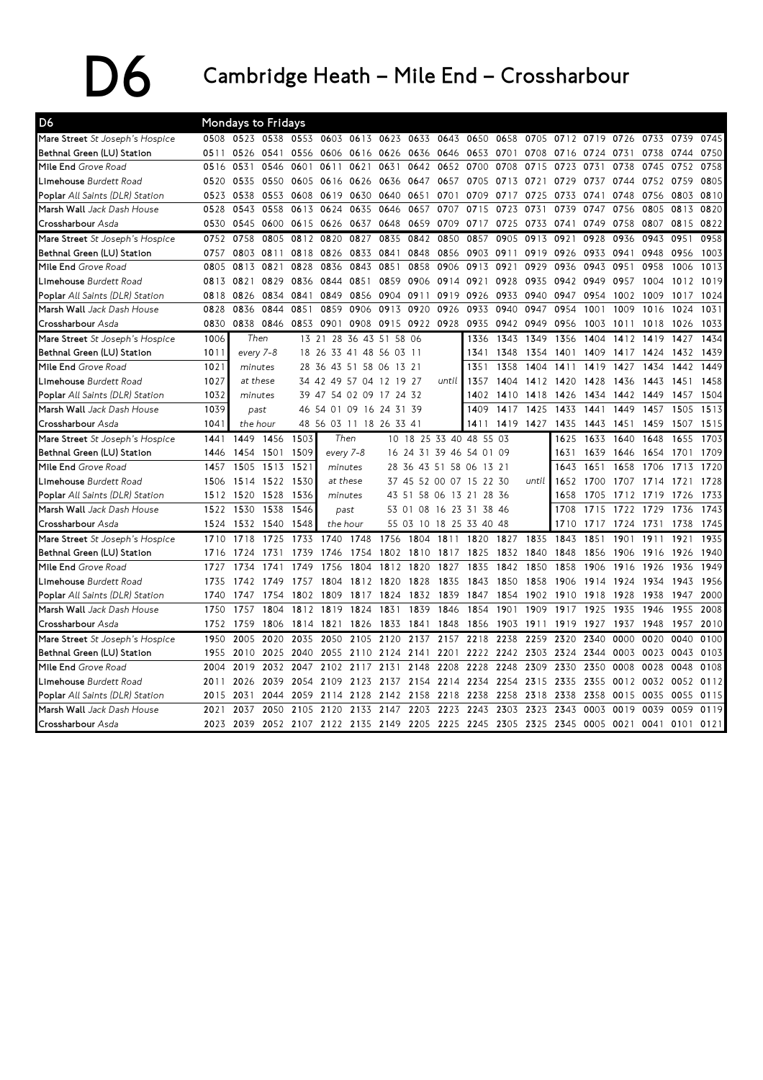## $\sum$  Cambridge Heath – Mile End – Crossharbour

| D <sub>6</sub>                         |       | Mondays to Fridays |      |       |                     |           |                         |           |                         |           |       |       |           |           |      |      |      |      |
|----------------------------------------|-------|--------------------|------|-------|---------------------|-----------|-------------------------|-----------|-------------------------|-----------|-------|-------|-----------|-----------|------|------|------|------|
| Mare Street St Joseph's Hospice        | 0508  | 0523 0538          |      |       | 0553 0603 0613 0623 |           |                         | 0633      | 0643                    | 0650      | 0658  | 0705  | 0712 0719 |           | 0726 | 0733 | 0739 | 0745 |
| Bethnal Green (LU) Station             | 0.511 | 0526               | 0541 | 0556  |                     | 0606 0616 | 0626                    | 0636 0646 |                         | 0653      | 0701  | 0708  | 0716      | 0724 0731 |      | 0738 | 0744 | 0750 |
| Mile End Grove Road                    | 0516  | 0531               | 0546 | 0601  | 0611                | 0621      | 0631                    | 0642      | 0652                    | 0700      | 0708  | 0715  | 0723      | 0731      | 0738 | 0745 | 0752 | 0758 |
| Limehouse Burdett Road                 | 0520  | 0535               | 0550 | 0605  |                     | 0616 0626 | 0636                    | 0647      | 0657                    | 0705      | 0713  | 0721  | 0729      | 0737      | 0744 | 0752 | 0759 | 0805 |
| <b>Poplar</b> All Saints (DLR) Station | 0523  | 0538               | 0553 | 0608  | 0619                | 0630      | 0640                    | 0651      | 0701                    | 0709      | 0717  | 0725  | 0733      | 0741      | 0748 | 0756 | 0803 | 0810 |
| Marsh Wall Jack Dash House             | 0528  | 0543               | 0558 | 0613  | 0624                | 0635      | 0646                    | 0657      | 0707                    | 0715      | 0723  | 0731  | 0739      | 0747      | 0756 | 0805 | 0813 | 0820 |
| Crossharbour Asda                      | 0530  | 0545               | 0600 | 0615  | 0626                | 0637      | 0648                    | 0659      | 0709                    | 0717      | 0725  | 0733  | 0741      | 0749      | 0758 | 0807 | 0815 | 0822 |
| Mare Street St Joseph's Hospice        | 0752  | 0758               | 0805 | 0812  | 0820                | 0827      | 0835                    | 0842      | 0850                    | 0857      | 0905  | 0913  | 0921      | 0928      | 0936 | 0943 | 0951 | 0958 |
| Bethnal Green (LU) Station             | 0757  | 0803               | 0811 | 0818  | 0826                | 0833      | 0841                    | 0848      | 0856                    | 0903      | 0911  | 0919  | 0926      | 0933      | 0941 | 0948 | 0956 | 1003 |
| Mile End Grove Road                    | 0805  | 0813               | 0821 | 0828  | 0836                | 0843      | 0851                    | 0858      | 0906                    | 0913      | 0921  | 0929  | 0936      | 0943      | 0951 | 0958 | 1006 | 1013 |
| Limehouse Burdett Road                 | 0813  | 0821               | 0829 | 0836  | 0844                | 0851      | 0859                    |           | 0906 0914               | 0921      | 0928  | 0935  | 0942      | 0949      | 0957 | 1004 | 1012 | 1019 |
| <b>Poplar</b> All Saints (DLR) Station | 0818  | 0826               | 0834 | 0841  | 0849                | 0856      | 0904                    | 0911      | 0919                    | 0926      | 0933  | 0940  | 0947      | 0954      | 1002 | 1009 | 1017 | 1024 |
| Marsh Wall Jack Dash House             | 0828  | 0836               | 0844 | 0851  | 0859                | 0906      | 0913                    | 0920      | 0926                    | 0933      | 0940  | 0947  | 0954      | 1001      | 1009 | 1016 | 1024 | 1031 |
| Crossharbour Asda                      | 0830  | 0838               | 0846 | 0853  | 0901                | 0908      | 0915                    | 0922      | 0928                    | 0935      | 0942  | 0949  | 0956      | 1003      | 1011 | 1018 | 1026 | 1033 |
| Mare Street St Joseph's Hospice        | 1006  | Then               |      | 13 21 | 28                  | 36 43     | 51                      | 58 06     |                         | 1336      | 1343  | 1349  | 1356      | 1404      | 1412 | 1419 | 1427 | 1434 |
| Bethnal Green (LU) Station             | 1011  | every 7-8          |      | 18 26 |                     |           | 33 41 48 56 03          | -11       |                         | 1341      | 1348  | 1354  | 1401      | 1409      | 1417 | 1424 | 1432 | 1439 |
| Mile End Grove Road                    | 1021  | minutes            |      | 28    | 36                  | 43 51 58  | 06<br>13                | 21        |                         | 1351      | 1358  | 1404  | 1411      | 1419      | 1427 | 1434 | 1442 | 1449 |
| Limehouse Burdett Road                 | 1027  | at these           |      |       |                     |           | 34 42 49 57 04 12 19 27 |           | until                   | 1357      | 1404  | 1412  | 1420      | 1428      | 1436 | 1443 | 1451 | 1458 |
| <b>Poplar</b> All Saints (DLR) Station | 1032  | minutes            |      |       | 39 47 54 02 09      |           | 17                      | 24 32     |                         | 1402      | 1410  | 1418  | 1426      | 1434      | 1442 | 1449 | 1457 | 1504 |
| Marsh Wall Jack Dash House             | 1039  | past               |      |       | 46 54 01 09 16 24   |           | 31                      | 39        |                         | 1409      | 1417  | 1425  | 1433      | 1441      | 1449 | 1457 | 1505 | 1513 |
| Crossharbour Asda                      | 1041  | the hour           |      |       |                     |           | 48 56 03 11 18 26 33 41 |           |                         | 1411      | 1419  | 1427  | 1435      | 1443      | 1451 | 1459 | 1507 | 1515 |
| Mare Street St Joseph's Hospice        | 1441  | 1449               | 1456 | 1503  |                     | Then      |                         |           | 10 18 25 33 40          | 48 55 03  |       |       | 1625      | 1633      | 1640 | 1648 | 1655 | 1703 |
| Bethnal Green (LU) Station             | 1446  | 1454               | 1501 | 1509  |                     | every 7-8 |                         |           | 16 24 31 39 46 54 01 09 |           |       |       | 1631      | 1639      | 1646 | 1654 | 1701 | 1709 |
| Mile End Grove Road                    | 1457  | 1505               | 1513 | 1521  |                     | minutes   | 28 36                   | 43 51     |                         | 58 06     | 13 21 |       | 1643      | 1651      | 1658 | 1706 | 1713 | 1720 |
| Limehouse Burdett Road                 | 1506  | 1514               | 1522 | 1530  |                     | at these  |                         |           | 37 45 52 00 07 15 22 30 |           |       | until | 1652      | 1700      | 1707 | 1714 | 1721 | 1728 |
| <b>Poplar</b> All Saints (DLR) Station | 1512  | 1520               | 1528 | 1536  |                     | minutes   |                         |           | 43 51 58 06 13 21 28 36 |           |       |       | 1658      | 1705      | 1712 | 1719 | 1726 | 1733 |
| Marsh Wall Jack Dash House             | 1522  | 1530               | 1538 | 1546  |                     | past      |                         |           | 53 01 08 16 23 31 38    |           | -46   |       | 1708      | 1715      | 1722 | 1729 | 1736 | 1743 |
| Crossharbour Asda                      | 1524  | 1532               | 1540 | 1548  | the hour            |           | 55 03                   | 10        | 18<br>25                | 33 40 48  |       |       | 1710      | 1717      | 1724 | 1731 | 1738 | 1745 |
| Mare Street St Joseph's Hospice        | 1710  | 1718               | 1725 | 1733  | 1740                | 1748      | 1756                    | 1804      | 1811                    | 1820      | 1827  | 1835  | 1843      | 1851      | 1901 | 1911 | 1921 | 1935 |
| Bethnal Green (LU) Station             | 1716  | 1724               | 1731 | 1739  | 1746                | 1754      | 1802                    | 1810      | 1817                    | 1825      | 1832  | 1840  | 1848      | 1856      | 1906 | 1916 | 1926 | 1940 |
| Mile End Grove Road                    | 1727  | 1734               | 1741 | 1749  | 1756                | 1804      | 1812                    | 1820      | 1827                    | 1835      | 1842  | 1850  | 1858      | 1906      | 1916 | 1926 | 1936 | 1949 |
| Limehouse Burdett Road                 | 1735  | 1742               | 1749 | 1757  | 1804                | 1812      | 1820                    | 1828      | 1835                    | 1843      | 1850  | 1858  | 1906      | 1914      | 1924 | 1934 | 1943 | 1956 |
| Poplar All Saints (DLR) Station        | 1740  | 1747               | 1754 | 1802  | 1809                | 1817      | 1824                    | 1832      | 1839                    | 1847      | 1854  | 1902  | 1910      | 1918      | 1928 | 1938 | 1947 | 2000 |
| Marsh Wall Jack Dash House             | 1750  | 1757               | 1804 | 1812  | 1819                | 1824      | 1831                    | 1839      | 1846                    | 1854      | 1901  | 1909  | 1917      | 1925      | 1935 | 1946 | 1955 | 2008 |
| Crossharbour Asda                      | 1752  | 1759               | 1806 | 1814  | 1821                | 1826      | 1833                    | 1841      | 1848                    | 1856      | 1903  | 1911  | 1919      | 1927      | 1937 | 1948 | 1957 | 2010 |
| Mare Street St Joseph's Hospice        | 1950  | 2005               | 2020 | 2035  | 2050                | 2105      | 2120                    | 2137      | 2157                    | 2218      | 2238  | 2259  | 2320      | 2340      | 0000 | 0020 | 0040 | 0100 |
| Bethnal Green (LU) Station             | 1955  | 2010               | 2025 | 2040  | 2055                | 2110      | 2124                    | 2141      | 2201                    | 2222      | 2242  | 2303  | 2324      | 2344      | 0003 | 0023 | 0043 | 0103 |
| Mile End Grove Road                    | 2004  | 2019               | 2032 | 2047  | 2102                | 2117      | 2131                    | 2148      | 2208                    | 2228      | 2248  | 2309  | 2330      | 2350      | 0008 | 0028 | 0048 | 0108 |
| Limehouse Burdett Road                 | 2011  | 2026               | 2039 | 2054  | 2109                | 2123      | 2137                    | 2154      | 2214                    | 2234      | 2254  | 2315  | 2335      | 2355      | 0012 | 0032 | 0052 | 0112 |
| <b>Poplar</b> All Saints (DLR) Station | 2015  | 2031               | 2044 | 2059  | 2114                | 2128      | 2142                    | 2158      | 2218                    | 2238      | 2258  | 2318  | 2338      | 2358      | 0015 | 0035 | 0055 | 0115 |
| Marsh Wall Jack Dash House             | 2021  | 2037               | 2050 | 2105  | 2120                | 2133      | 2147                    | 2203      | 2223                    | 2243      | 2303  | 2323  | 2343      | 0003      | 0019 | 0039 | 0059 | 0119 |
| Crossharbour Asda                      | 2023  | 2039               |      |       | 2052 2107 2122 2135 |           | 2149                    |           | 2205 2225               | 2245 2305 |       | 2325  | 2345      | 0005      | 0021 | 0041 | 0101 | 0121 |